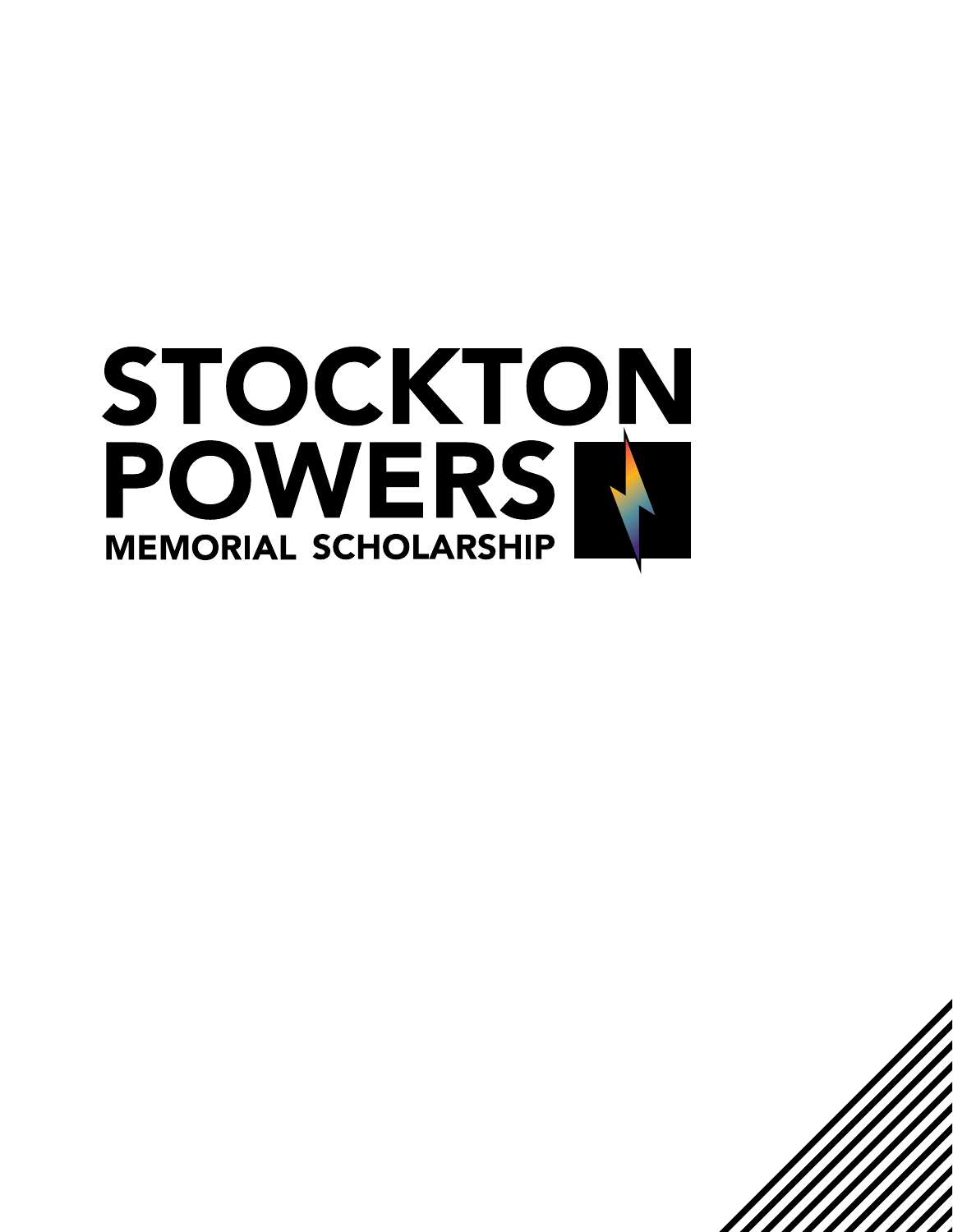

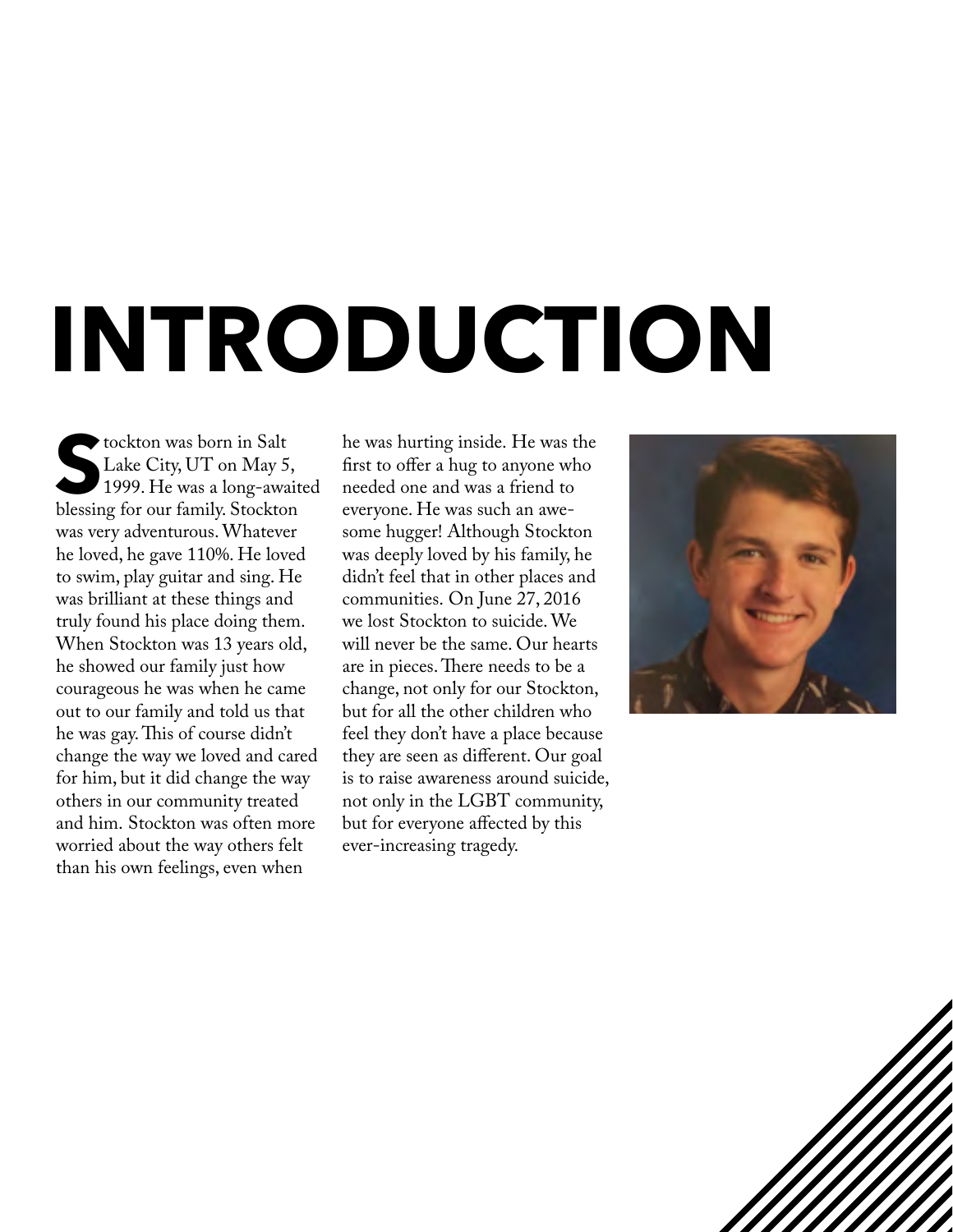# **INTRODUCTION**

**S**tockton was born in Salt Lake City, UT on May 5, 1999. He was a long-awaited blessing for our family. Stockton was very adventurous. Whatever he loved, he gave 110%. He loved to swim, play guitar and sing. He was brilliant at these things and truly found his place doing them. When Stockton was 13 years old, he showed our family just how courageous he was when he came out to our family and told us that he was gay. This of course didn't change the way we loved and cared for him, but it did change the way others in our community treated and him. Stockton was often more worried about the way others felt than his own feelings, even when

he was hurting inside. He was the first to offer a hug to anyone who needed one and was a friend to everyone. He was such an awesome hugger! Although Stockton was deeply loved by his family, he didn't feel that in other places and communities. On June 27, 2016 we lost Stockton to suicide. We will never be the same. Our hearts are in pieces. There needs to be a change, not only for our Stockton, but for all the other children who feel they don't have a place because they are seen as different. Our goal is to raise awareness around suicide, not only in the LGBT community, but for everyone affected by this ever-increasing tragedy.



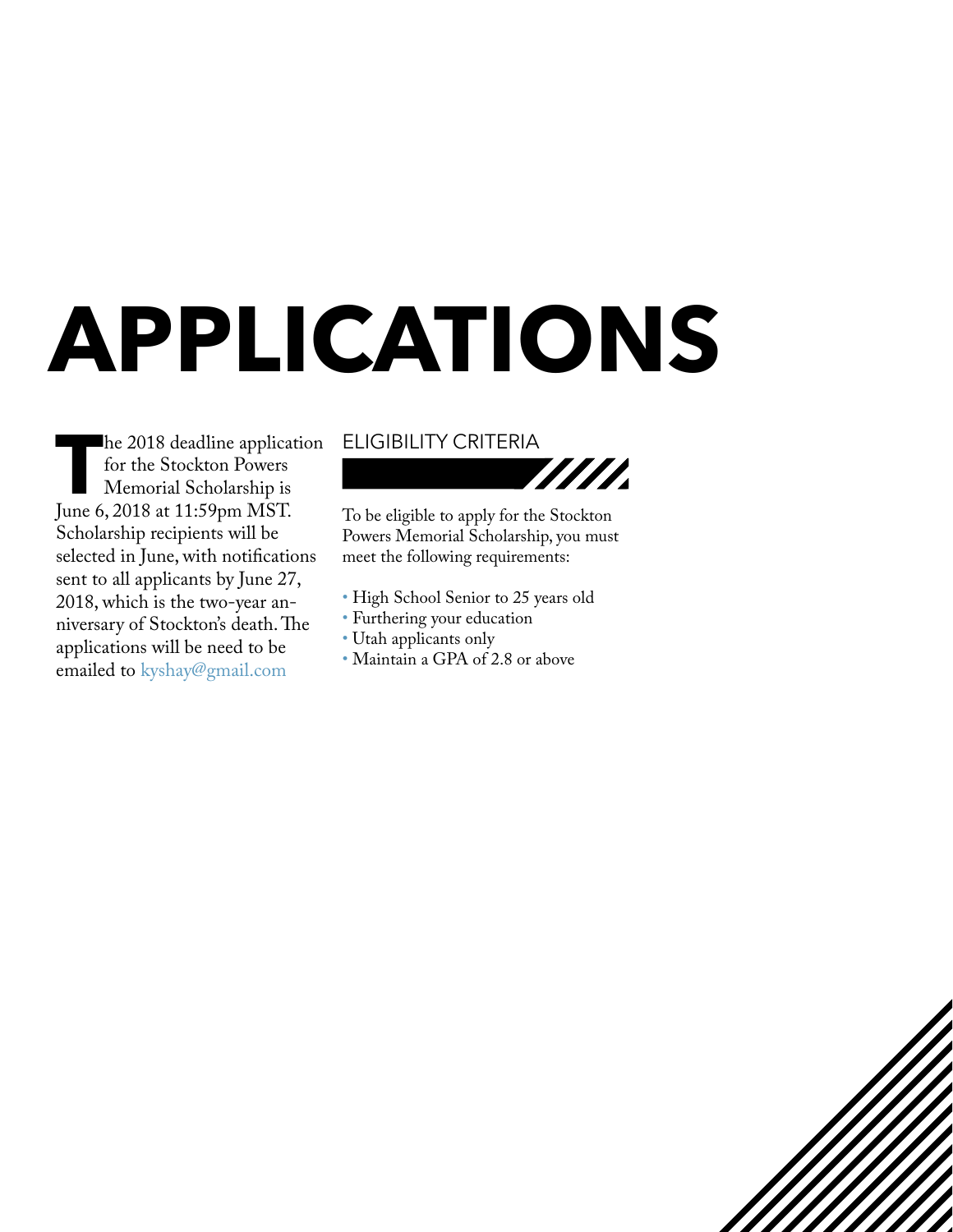## **APPLICATIONS**

**The 2018 deadline application<br>for the Stockton Powers<br>Memorial Scholarship is<br>June 6, 2018 at 11:59pm MST.** for the Stockton Powers Memorial Scholarship is June 6, 2018 at 11:59pm MST. Scholarship recipients will be selected in June, with notifications sent to all applicants by June 27, 2018, which is the two-year anniversary of Stockton's death. The applications will be need to be emailed to kyshay@gmail.com

#### ELIGIBILITY CRITERIA



To be eligible to apply for the Stockton Powers Memorial Scholarship, you must meet the following requirements:

- High School Senior to 25 years old
- Furthering your education
- Utah applicants only
- Maintain a GPA of 2.8 or above

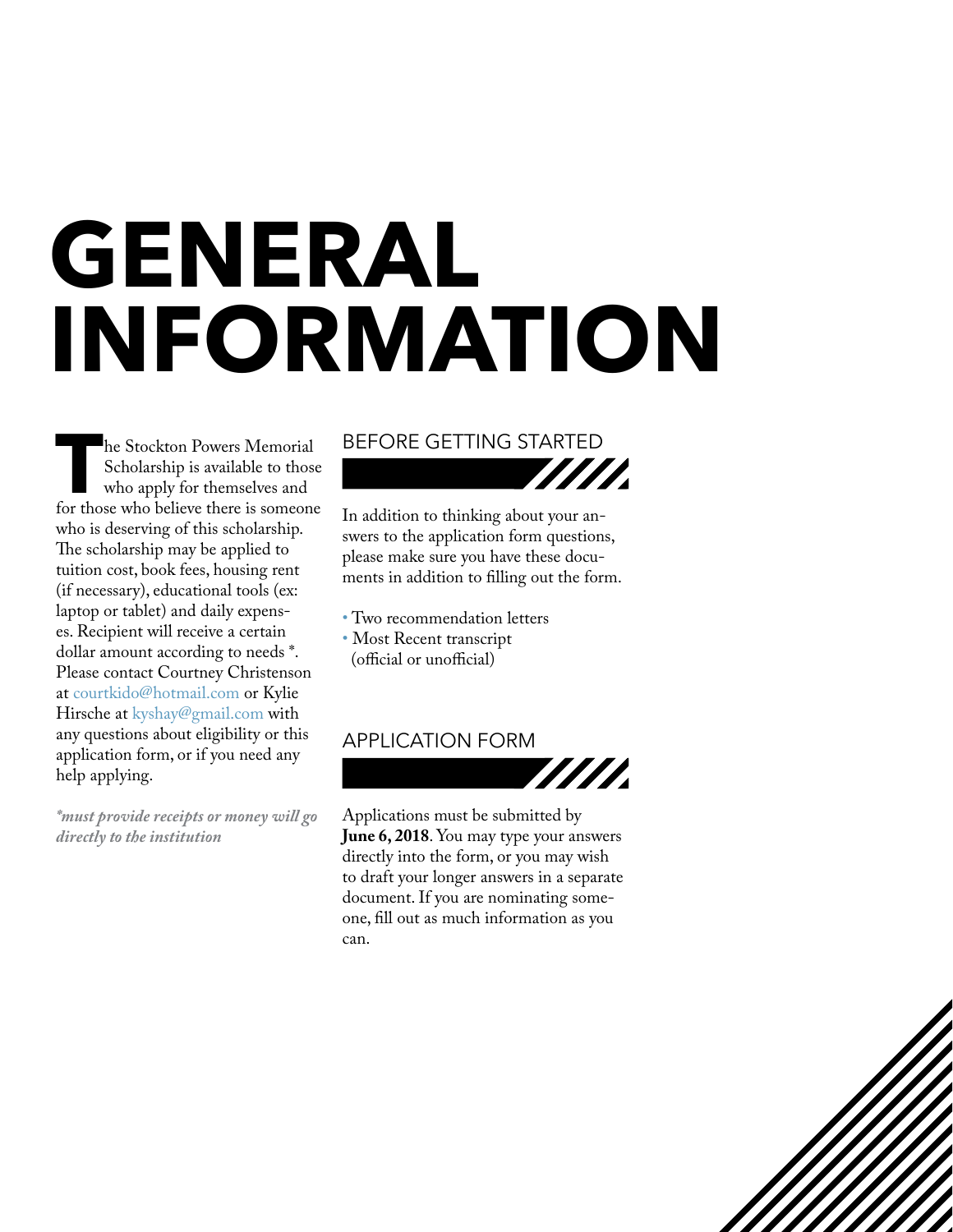## **GENERAL INFORMATION**

**The Stockton Powers Memorial Scholarship is available to those who apply for themselves and for those who believe there is someone** Scholarship is available to those who apply for themselves and who is deserving of this scholarship. The scholarship may be applied to tuition cost, book fees, housing rent (if necessary), educational tools (ex: laptop or tablet) and daily expenses. Recipient will receive a certain dollar amount according to needs \*. Please contact Courtney Christenson at courtkido@hotmail.com or Kylie Hirsche at kyshay@gmail.com with any questions about eligibility or this application form, or if you need any help applying.

*\*must provide receipts or money will go directly to the institution*

#### BEFORE GETTING STARTED

In addition to thinking about your answers to the application form questions, please make sure you have these documents in addition to filling out the form.

- Two recommendation letters • Most Recent transcript
- (official or unofficial)

#### APPLICATION FORM



7777

Applications must be submitted by **June 6, 2018**. You may type your answers directly into the form, or you may wish to draft your longer answers in a separate document. If you are nominating someone, fill out as much information as you can.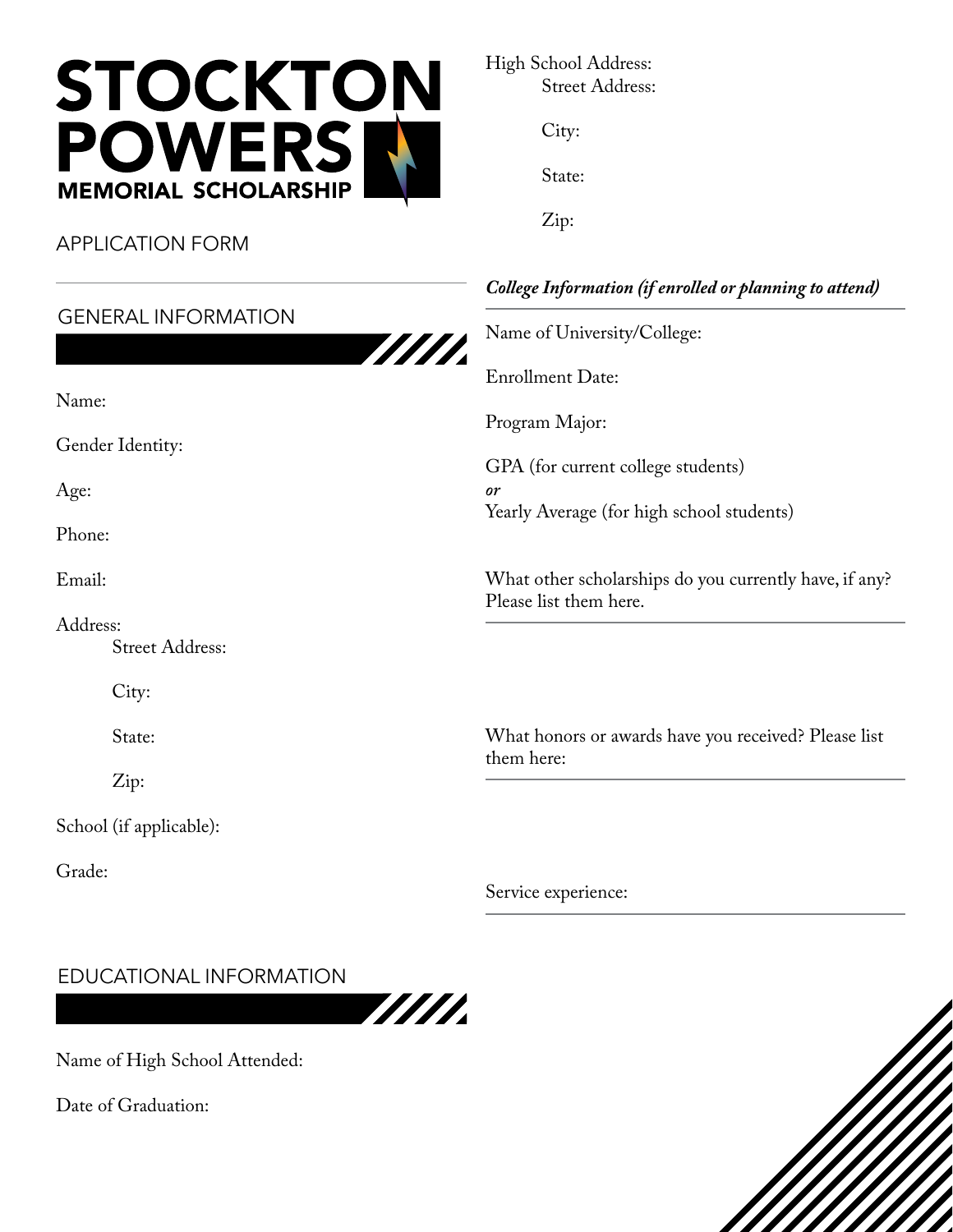

APPLICATION FORM

Name:

Age:

Phone:

Email:

Address:

Grade:

Gender Identity:

## GENERAL INFORMATION

Street Address:

City:

State:

Zip:

School (if applicable):

| WII. |  |
|------|--|
|      |  |

High School Address: Street Address:

City:

State:

Zip:

### *College Information (if enrolled or planning to attend)*

Name of University/College:

Enrollment Date:

Program Major:

GPA (for current college students) *or* Yearly Average (for high school students)

What other scholarships do you currently have, if any? Please list them here.

What honors or awards have you received? Please list them here:

Service experience:

#### EDUCATIONAL INFORMATION



Name of High School Attended:

Date of Graduation: